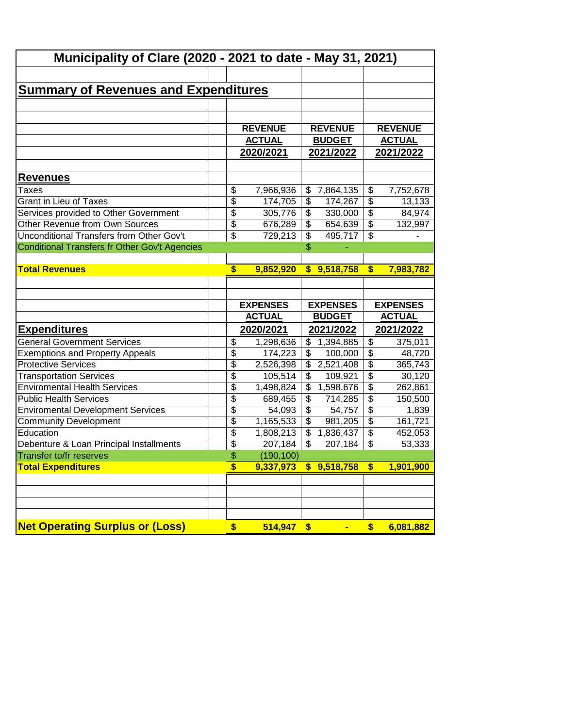| Municipality of Clare (2020 - 2021 to date - May 31, 2021)            |                                               |                                         |                                                                  |
|-----------------------------------------------------------------------|-----------------------------------------------|-----------------------------------------|------------------------------------------------------------------|
|                                                                       |                                               |                                         |                                                                  |
| <u>Summary of Revenues and Expenditures</u>                           |                                               |                                         |                                                                  |
|                                                                       |                                               |                                         |                                                                  |
|                                                                       |                                               |                                         |                                                                  |
|                                                                       | <b>REVENUE</b>                                | <b>REVENUE</b>                          | <b>REVENUE</b>                                                   |
|                                                                       | <b>ACTUAL</b>                                 | <b>BUDGET</b>                           | <b>ACTUAL</b>                                                    |
|                                                                       | 2020/2021                                     | 2021/2022                               | 2021/2022                                                        |
| Revenues                                                              |                                               |                                         |                                                                  |
| Taxes                                                                 | \$<br>7,966,936                               | 7,864,135<br>\$                         | \$<br>7,752,678                                                  |
| <b>Grant in Lieu of Taxes</b>                                         | \$<br>174,705                                 | \$<br>174,267                           | $\overline{\$}$<br>13,133                                        |
| Services provided to Other Government                                 | \$<br>305,776                                 | \$<br>330,000                           | $\overline{\mathcal{L}}$<br>84,974                               |
| Other Revenue from Own Sources                                        | \$<br>676,289                                 | \$<br>654,639                           | $\overline{\mathcal{L}}$<br>132,997                              |
| Unconditional Transfers from Other Gov't                              | \$<br>729,213                                 | $\overline{\mathcal{L}}$<br>495,717     | $\overline{\mathcal{L}}$                                         |
| Conditional Transfers fr Other Gov't Agencies                         |                                               | \$                                      |                                                                  |
|                                                                       |                                               |                                         |                                                                  |
| <b>Total Revenues</b>                                                 | \$<br>9,852,920                               | $\mathbf{s}$<br>9,518,758               | $\boldsymbol{\$}$<br>7,983,782                                   |
|                                                                       |                                               |                                         |                                                                  |
|                                                                       |                                               |                                         |                                                                  |
|                                                                       |                                               |                                         |                                                                  |
|                                                                       |                                               |                                         |                                                                  |
|                                                                       | <b>EXPENSES</b><br><b>ACTUAL</b>              | <b>EXPENSES</b><br><b>BUDGET</b>        | <b>EXPENSES</b><br><b>ACTUAL</b>                                 |
|                                                                       |                                               |                                         |                                                                  |
| <u>Expenditures</u>                                                   | 2020/2021                                     | 2021/2022                               | 2021/2022                                                        |
| <b>General Government Services</b>                                    | \$<br>1,298,636                               | \$<br>1,394,885                         | \$<br>375,011                                                    |
| <b>Exemptions and Property Appeals</b><br><b>Protective Services</b>  | \$<br>174,223                                 | \$<br>100,000<br>\$                     | $\overline{\$}$<br>48,720                                        |
|                                                                       | \$<br>2,526,398<br>$\overline{\$}$<br>105,514 | 2,521,408<br>\$<br>109,921              | $\overline{\$}$<br>365,743<br>$\overline{\mathcal{L}}$<br>30,120 |
| <b>Transportation Services</b><br><b>Enviromental Health Services</b> | \$                                            | $\overline{\mathcal{S}}$                | $\overline{\mathcal{L}}$                                         |
| <b>Public Health Services</b>                                         | 1,498,824<br>$\overline{\$}$<br>689,455       | 1,598,676<br>$\overline{\$}$<br>714,285 | 262,861<br>$\overline{\$}$<br>150,500                            |
| <b>Enviromental Development Services</b>                              | $\overline{\$}$<br>54,093                     | \$<br>54,757                            | $\overline{\$}$<br>1,839                                         |
| <b>Community Development</b>                                          | $\overline{\mathfrak{s}}$<br>1,165,533        | \$<br>981,205                           | $\overline{\mathcal{L}}$<br>161,721                              |
| Education                                                             | \$<br>1,808,213                               | \$<br>1,836,437                         | \$<br>452,053                                                    |
| Debenture & Loan Principal Installments                               | \$<br>207,184                                 | \$<br>207,184                           | \$<br>53,333                                                     |
| Transfer to/fr reserves                                               | \$<br>(190, 100)                              |                                         |                                                                  |
| <b>Total Expenditures</b>                                             | \$<br>9,337,973                               | \$9,518,758                             | 1,901,900<br>\$                                                  |
|                                                                       |                                               |                                         |                                                                  |
|                                                                       |                                               |                                         |                                                                  |
|                                                                       |                                               |                                         |                                                                  |
|                                                                       |                                               |                                         |                                                                  |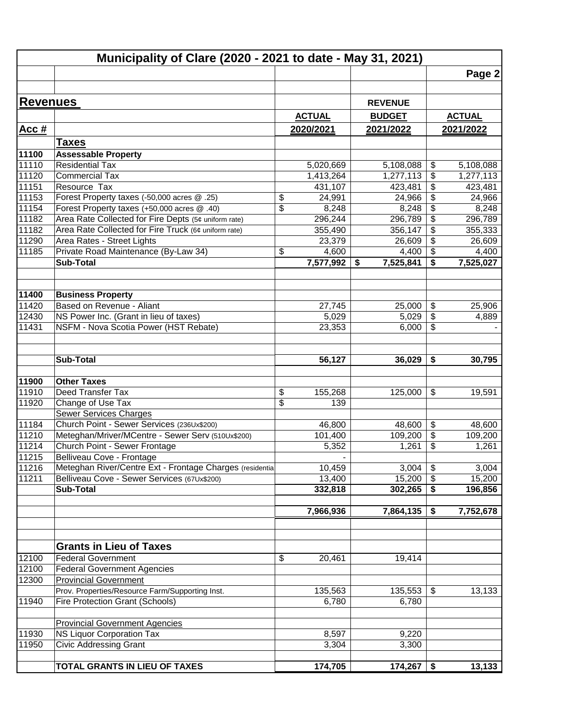|                 | Municipality of Clare (2020 - 2021 to date - May 31, 2021)                                 |                               |                          |                 |                                                    |                 |
|-----------------|--------------------------------------------------------------------------------------------|-------------------------------|--------------------------|-----------------|----------------------------------------------------|-----------------|
|                 |                                                                                            |                               |                          |                 |                                                    | Page 2          |
|                 |                                                                                            |                               |                          |                 |                                                    |                 |
| <b>Revenues</b> |                                                                                            |                               |                          | <b>REVENUE</b>  |                                                    |                 |
|                 |                                                                                            |                               | <b>ACTUAL</b>            | <b>BUDGET</b>   |                                                    | <b>ACTUAL</b>   |
|                 |                                                                                            |                               | 2020/2021                | 2021/2022       |                                                    | 2021/2022       |
| Acc#            |                                                                                            |                               |                          |                 |                                                    |                 |
|                 | <b>Taxes</b>                                                                               |                               |                          |                 |                                                    |                 |
| 11100           | <b>Assessable Property</b>                                                                 |                               |                          |                 |                                                    |                 |
| 11110           | Residential Tax                                                                            |                               | 5,020,669                | 5,108,088       | \$                                                 | 5,108,088       |
| 11120           | <b>Commercial Tax</b>                                                                      |                               | 1,413,264                | 1,277,113       | \$                                                 | 1,277,113       |
| 11151           | Resource Tax                                                                               |                               | 431,107                  | 423,481         | \$                                                 | 423,481         |
| 11153<br>11154  | Forest Property taxes (-50,000 acres @ .25)<br>Forest Property taxes (+50,000 acres @ .40) | \$<br>$\overline{\$}$         | 24,991<br>8,248          | 24,966<br>8,248 | $\overline{\mathbf{e}}$<br>$\overline{\mathbf{e}}$ | 24,966<br>8,248 |
| 11182           | Area Rate Collected for Fire Depts (5¢ uniform rate)                                       |                               | 296,244                  | 296,789         | $\overline{\mathbf{e}}$                            | 296,789         |
| 11182           | Area Rate Collected for Fire Truck (6¢ uniform rate)                                       |                               | 355,490                  | 356,147         | \$                                                 | 355,333         |
| 11290           | Area Rates - Street Lights                                                                 |                               | 23,379                   | 26,609          | \$                                                 | 26,609          |
| 11185           | Private Road Maintenance (By-Law 34)                                                       | \$                            | 4,600                    | 4,400           | \$                                                 | 4,400           |
|                 | <b>Sub-Total</b>                                                                           |                               | 7,577,992                | 7,525,841<br>\$ | \$                                                 | 7,525,027       |
|                 |                                                                                            |                               |                          |                 |                                                    |                 |
|                 |                                                                                            |                               |                          |                 |                                                    |                 |
| 11400           | <b>Business Property</b>                                                                   |                               |                          |                 |                                                    |                 |
| 11420           | Based on Revenue - Aliant                                                                  |                               | 27,745                   | 25,000          | \$                                                 | 25,906          |
| 12430           | NS Power Inc. (Grant in lieu of taxes)                                                     |                               | 5,029                    | 5,029           | \$                                                 | 4,889           |
| 11431           | NSFM - Nova Scotia Power (HST Rebate)                                                      |                               | 23,353                   | 6,000           | $\overline{\mathcal{L}}$                           |                 |
|                 |                                                                                            |                               |                          |                 |                                                    |                 |
|                 |                                                                                            |                               |                          |                 |                                                    |                 |
|                 | Sub-Total                                                                                  |                               | 56,127                   | 36,029          | \$                                                 | 30,795          |
|                 |                                                                                            |                               |                          |                 |                                                    |                 |
| 11900           | <b>Other Taxes</b>                                                                         |                               |                          |                 |                                                    |                 |
| 11910           | Deed Transfer Tax                                                                          | \$<br>$\overline{\mathbb{S}}$ | 155,268                  | 125,000         | \$                                                 | 19,591          |
| 11920           | Change of Use Tax<br><b>Sewer Services Charges</b>                                         |                               | 139                      |                 |                                                    |                 |
| 11184           | Church Point - Sewer Services (236Ux\$200)                                                 |                               | 46,800                   | 48,600          | \$                                                 | 48,600          |
| 11210           | Meteghan/Mriver/MCentre - Sewer Serv (510Ux\$200)                                          |                               | 101,400                  | 109,200         | \$                                                 | 109,200         |
| 11214           | Church Point - Sewer Frontage                                                              |                               | 5,352                    | 1,261           | \$                                                 | 1,261           |
| 11215           | Belliveau Cove - Frontage                                                                  |                               | $\overline{\phantom{0}}$ |                 |                                                    |                 |
| 11216           | Meteghan River/Centre Ext - Frontage Charges (residential                                  |                               | 10,459                   | 3,004           | $\overline{\boldsymbol{\mathfrak{s}}}$             | 3,004           |
| 11211           | Belliveau Cove - Sewer Services (67Ux\$200)                                                |                               | 13,400                   | 15,200          | $\boldsymbol{\mathsf{S}}$                          | 15,200          |
|                 | <b>Sub-Total</b>                                                                           |                               | 332,818                  | 302,265         | \$                                                 | 196,856         |
|                 |                                                                                            |                               |                          |                 |                                                    |                 |
|                 |                                                                                            |                               | 7,966,936                | 7,864,135       | \$                                                 | 7,752,678       |
|                 |                                                                                            |                               |                          |                 |                                                    |                 |
|                 |                                                                                            |                               |                          |                 |                                                    |                 |
|                 | <b>Grants in Lieu of Taxes</b>                                                             |                               |                          |                 |                                                    |                 |
| 12100           | <b>Federal Government</b>                                                                  | \$                            | 20,461                   | 19,414          |                                                    |                 |
| 12100           | <b>Federal Government Agencies</b>                                                         |                               |                          |                 |                                                    |                 |
| 12300           | <b>Provincial Government</b>                                                               |                               |                          |                 |                                                    |                 |
|                 | Prov. Properties/Resource Farm/Supporting Inst.                                            |                               | 135,563                  | 135,553         | \$                                                 | 13,133          |
| 11940           | Fire Protection Grant (Schools)                                                            |                               | 6,780                    | 6,780           |                                                    |                 |
|                 |                                                                                            |                               |                          |                 |                                                    |                 |
|                 | <b>Provincial Government Agencies</b>                                                      |                               |                          |                 |                                                    |                 |
| 11930           | <b>NS Liquor Corporation Tax</b>                                                           |                               | 8,597                    | 9,220           |                                                    |                 |
| 11950           | <b>Civic Addressing Grant</b>                                                              |                               | 3,304                    | 3,300           |                                                    |                 |
|                 |                                                                                            |                               |                          |                 |                                                    |                 |
|                 | TOTAL GRANTS IN LIEU OF TAXES                                                              |                               | 174,705                  | 174,267         | \$                                                 | 13,133          |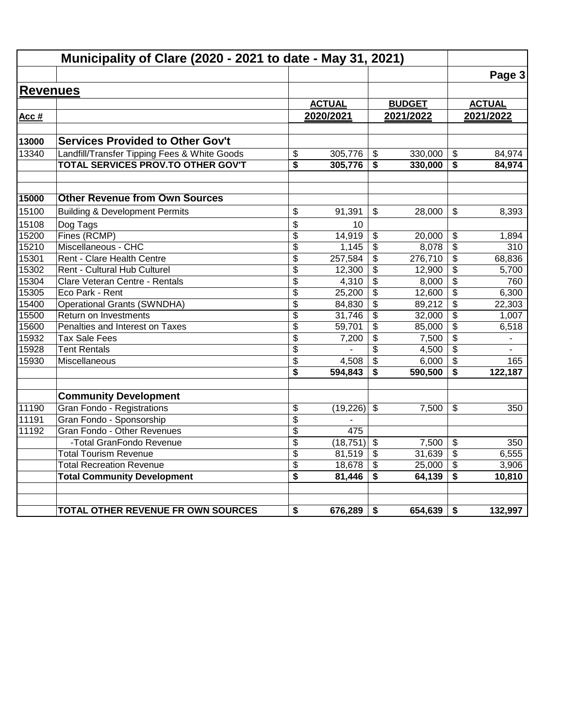|                 | Municipality of Clare (2020 - 2021 to date - May 31, 2021)     |                 |                 |                               |                  |                                            |                          |
|-----------------|----------------------------------------------------------------|-----------------|-----------------|-------------------------------|------------------|--------------------------------------------|--------------------------|
|                 |                                                                |                 |                 |                               |                  |                                            | Page 3                   |
| <b>Revenues</b> |                                                                |                 |                 |                               |                  |                                            |                          |
|                 |                                                                |                 | <b>ACTUAL</b>   |                               | <b>BUDGET</b>    |                                            | <b>ACTUAL</b>            |
| Acc #           |                                                                |                 | 2020/2021       |                               | 2021/2022        |                                            | 2021/2022                |
|                 |                                                                |                 |                 |                               |                  |                                            |                          |
| 13000           | <b>Services Provided to Other Gov't</b>                        |                 |                 |                               |                  |                                            |                          |
| 13340           | Landfill/Transfer Tipping Fees & White Goods                   | \$              | 305,776         | \$                            | 330,000          | $\frac{1}{2}$                              | 84,974                   |
|                 | TOTAL SERVICES PROV.TO OTHER GOV'T                             | \$              | 305,776         | \$                            | 330,000          | \$                                         | 84,974                   |
| 15000           | <b>Other Revenue from Own Sources</b>                          |                 |                 |                               |                  |                                            |                          |
|                 |                                                                |                 |                 |                               |                  |                                            |                          |
| 15100           | <b>Building &amp; Development Permits</b>                      | \$              | 91,391          | \$                            | 28,000           | $\mathbb{S}$                               | 8,393                    |
| 15108           | Dog Tags                                                       | \$              | 10              |                               |                  |                                            |                          |
| 15200           | Fines (RCMP)                                                   | \$              | 14,919          | \$                            | 20,000           | \$                                         | 1,894                    |
| 15210           | Miscellaneous - CHC                                            | $\overline{\$}$ | 1,145           | $\overline{\mathfrak{s}}$     | 8,078            | $\overline{\$}$                            | 310                      |
| 15301           | Rent - Clare Health Centre                                     | \$              | 257,584         | $\overline{\mathbf{e}}$       | 276,710          | \$                                         | 68,836                   |
| 15302<br>15304  | Rent - Cultural Hub Culturel<br>Clare Veteran Centre - Rentals | \$              | 12,300<br>4,310 | \$<br>$\overline{\mathbf{3}}$ | 12,900<br>8,000  | \$<br>$\overline{\boldsymbol{\mathsf{s}}}$ | 5,700<br>760             |
| 15305           | Eco Park - Rent                                                | \$<br>\$        | 25,200          | \$                            |                  | $\overline{\mathcal{S}}$                   | 6,300                    |
| 15400           | <b>Operational Grants (SWNDHA)</b>                             | \$              | 84,830          | $\overline{\mathbf{3}}$       | 12,600<br>89,212 | \$                                         | 22,303                   |
| 15500           | Return on Investments                                          | $\overline{\$}$ | 31,746          | $\overline{\mathbf{3}}$       | 32,000           | $\overline{\boldsymbol{\mathsf{s}}}$       | 1,007                    |
| 15600           | Penalties and Interest on Taxes                                | \$              | 59,701          | \$                            | 85,000           | \$                                         | 6,518                    |
| 15932           | <b>Tax Sale Fees</b>                                           | \$              | 7,200           | \$                            | 7,500            | $\frac{1}{2}$                              | $\overline{\phantom{a}}$ |
| 15928           | <b>Tent Rentals</b>                                            | \$              |                 | \$                            | 4,500            | \$                                         |                          |
| 15930           | Miscellaneous                                                  | \$              | 4,508           | $\overline{\mathbf{3}}$       | 6,000            | \$                                         | 165                      |
|                 |                                                                | \$              | 594,843         | \$                            | 590,500          | \$                                         | 122,187                  |
|                 | <b>Community Development</b>                                   |                 |                 |                               |                  |                                            |                          |
| 11190           | Gran Fondo - Registrations                                     | \$              | (19,226)        | $\mathfrak{S}$                | 7,500            | \$                                         | 350                      |
| 11191           | Gran Fondo - Sponsorship                                       | \$              |                 |                               |                  |                                            |                          |
| 11192           | Gran Fondo - Other Revenues                                    | \$              | 475             |                               |                  |                                            |                          |
|                 | -Total GranFondo Revenue                                       | \$              | (18, 751)       | $\overline{\mathbf{s}}$       | 7,500            | \$                                         | 350                      |
|                 | <b>Total Tourism Revenue</b>                                   | \$              | 81,519          | \$                            | 31,639           | \$                                         | 6,555                    |
|                 | <b>Total Recreation Revenue</b>                                | \$              | 18,678          | \$                            | 25,000           | $\overline{\mathbf{e}}$                    | 3,906                    |
|                 | <b>Total Community Development</b>                             | \$              | 81,446          | \$                            | 64,139           | \$                                         | 10,810                   |
|                 |                                                                |                 |                 |                               |                  |                                            |                          |
|                 | TOTAL OTHER REVENUE FR OWN SOURCES                             | \$              | 676,289         | \$                            | 654,639          | \$                                         | 132,997                  |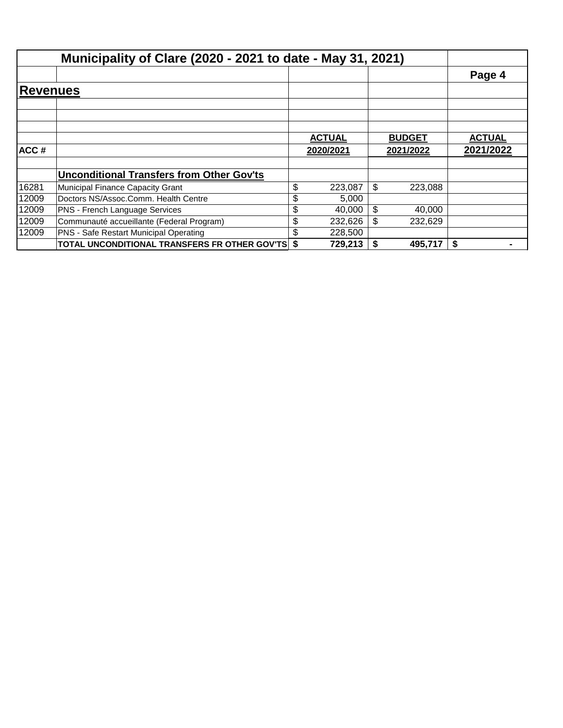|                 | Municipality of Clare (2020 - 2021 to date - May 31, 2021) |               |               |               |
|-----------------|------------------------------------------------------------|---------------|---------------|---------------|
|                 |                                                            |               |               | Page 4        |
| <b>Revenues</b> |                                                            |               |               |               |
|                 |                                                            |               |               |               |
|                 |                                                            |               |               |               |
|                 |                                                            | <b>ACTUAL</b> | <b>BUDGET</b> | <b>ACTUAL</b> |
| ACC#            |                                                            | 2020/2021     | 2021/2022     | 2021/2022     |
|                 |                                                            |               |               |               |
|                 | <b>Unconditional Transfers from Other Gov'ts</b>           |               |               |               |
| 16281           | Municipal Finance Capacity Grant                           | \$<br>223,087 | \$<br>223,088 |               |
| 12009           | Doctors NS/Assoc.Comm. Health Centre                       | \$<br>5,000   |               |               |
| 12009           | PNS - French Language Services                             | \$<br>40,000  | \$<br>40,000  |               |
| 12009           | Communauté accueillante (Federal Program)                  | \$<br>232,626 | \$<br>232,629 |               |
| 12009           | <b>PNS - Safe Restart Municipal Operating</b>              | \$<br>228,500 |               |               |
|                 | <b>TOTAL UNCONDITIONAL TRANSFERS FR OTHER GOV'TS \$</b>    | 729,213       | \$<br>495,717 | \$            |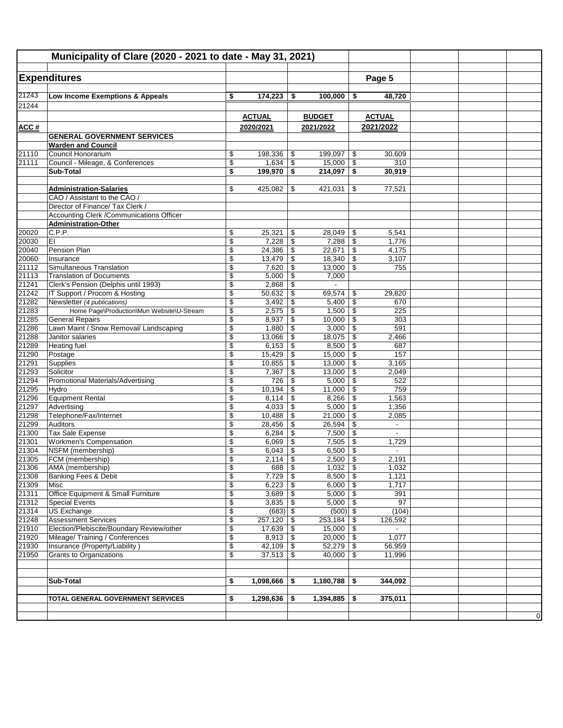|                | Municipality of Clare (2020 - 2021 to date - May 31, 2021)                  |                          |                              |          |                            |          |                          |  |             |
|----------------|-----------------------------------------------------------------------------|--------------------------|------------------------------|----------|----------------------------|----------|--------------------------|--|-------------|
|                |                                                                             |                          |                              |          |                            |          |                          |  |             |
|                | <b>Expenditures</b>                                                         |                          |                              |          |                            |          | Page 5                   |  |             |
| 21243          |                                                                             |                          |                              |          |                            |          |                          |  |             |
| 21244          | Low Income Exemptions & Appeals                                             | \$                       | 174,223                      | \$       | 100,000                    | \$       | 48,720                   |  |             |
|                |                                                                             |                          |                              |          |                            |          |                          |  |             |
|                |                                                                             |                          | <b>ACTUAL</b>                |          | <b>BUDGET</b>              |          | <b>ACTUAL</b>            |  |             |
| ACC#           | <b>GENERAL GOVERNMENT SERVICES</b>                                          |                          | 2020/2021                    |          | 2021/2022                  |          | 2021/2022                |  |             |
|                | <b>Warden and Council</b>                                                   |                          |                              |          |                            |          |                          |  |             |
| 21110          | Council Honorarium                                                          | \$                       | 198,336                      | \$       | 199,097                    | \$       | 30,609                   |  |             |
| 21111          | Council - Mileage, & Conferences                                            | \$                       |                              |          | $15,000$ \$                |          | 310                      |  |             |
|                | Sub-Total                                                                   | \$                       | 199,970                      | \$       | $214,097$ \$               |          | 30,919                   |  |             |
|                |                                                                             |                          |                              |          |                            |          |                          |  |             |
|                | <b>Administration-Salaries</b><br>CAO / Assistant to the CAO /              | \$                       | 425,082                      | \$       | 421,031                    | \$       | 77,521                   |  |             |
|                | Director of Finance/ Tax Clerk /                                            |                          |                              |          |                            |          |                          |  |             |
|                | Accounting Clerk / Communications Officer                                   |                          |                              |          |                            |          |                          |  |             |
|                | <b>Administration-Other</b>                                                 |                          |                              |          |                            |          |                          |  |             |
| 20020<br>20030 | C.P.P.                                                                      | \$                       | 25,321                       | \$       | 28,049                     | -\$      | 5,541                    |  |             |
|                | EI                                                                          | \$                       | 7,228                        | \$       |                            |          | 1,776                    |  |             |
| 20040          | Pension Plan                                                                | \$                       | 24,386                       | \$       | 22,671                     | \$       | 4,175                    |  |             |
| 20060          | Insurance                                                                   | \$                       | 13,479                       | \$       | 18,340                     | \$       | 3,107                    |  |             |
| 21112<br>21113 | Simultaneous Translation<br><b>Translation of Documents</b>                 | \$                       | 7,620                        | \$       | $13,000$ \ \$              |          | 755                      |  |             |
| 21241          | Clerk's Pension (Delphis until 1993)                                        | \$<br>\$                 | 5,000<br>2,868               | \$<br>\$ | 7,000                      |          |                          |  |             |
| 21242          | IT Support / Procom & Hosting                                               | \$                       | 50,632                       | \$       | 69,574                     | \$       | 29,820                   |  |             |
| 21282          | Newsletter (4 publications)                                                 | \$                       | 3,492                        | \$       | 5,400                      | \$       | 670                      |  |             |
| 21283          | Home Page\Production\Mun Website\U-Stream                                   | \$                       | 2,575                        | \$       | 1,500                      | \$       | 225                      |  |             |
| 21285          | <b>General Repairs</b>                                                      | $\overline{\mathcal{E}}$ | 8,937                        | \$       | 10,000                     | \$       | 303                      |  |             |
| 21286          | Lawn Maint / Snow Removal/ Landscaping                                      | \$                       | 1,880                        | \$       | $3,000$   \$               |          | 591                      |  |             |
| 21288          | Janitor salaries                                                            | \$                       | 13,066                       | \$       | 18,075                     | \$       | 2,466                    |  |             |
| 21289          | Heating fuel                                                                | \$                       | 6,153                        | \$       | 8,500                      | \$       | 687                      |  |             |
| 21290<br>21291 | Postage<br>Supplies                                                         | \$                       | 15,429<br>10,855             | \$       | 15,000<br>13,000           | \$<br>\$ | 157<br>3,165             |  |             |
| 21293          | Solicitor                                                                   | \$<br>\$                 | 7,367                        | \$<br>\$ | 13,000                     | \$       | 2,049                    |  |             |
| 21294          | Promotional Materials/Advertising                                           | \$                       | 726                          | \$       | 5,000                      | \$       | 522                      |  |             |
| 21295          | Hydro                                                                       | \$                       | 10,194                       | \$       | 11,000                     | \$       | 759                      |  |             |
| 21296          | <b>Equipment Rental</b>                                                     | \$                       | 8,114                        | \$       | 8,266                      | \$       | 1,563                    |  |             |
| 21297          | Advertising                                                                 | \$                       | 4,033                        | \$       | 5,000                      | \$       | 1,356                    |  |             |
| 21298          | Telephone/Fax/Internet                                                      | \$                       | 10,488                       | \$       | 21,000                     | \$       | 2,085                    |  |             |
| 21299          | Auditors                                                                    | \$                       | 28,456                       | \$       | 26,594                     | \$       | $\overline{\phantom{a}}$ |  |             |
| 21300          | Tax Sale Expense                                                            | $\overline{\$}$          | 6,284                        | \$       | 7,500                      | \$       | $\overline{\phantom{a}}$ |  |             |
| 21301<br>21304 | <b>Workmen's Compensation</b><br>NSFM (membership)                          | \$<br>\$                 | 6,069<br>6,043               | \$<br>\$ | 7,505<br>6,500             | \$<br>\$ | 1,729                    |  |             |
| 21305          | FCM (membership)                                                            | $\overline{\mathbb{S}}$  | 2,114                        | \$       | $2.500$ \ \$               |          | 2,191                    |  |             |
| 21306          | AMA (membership)                                                            | \$                       | 688                          | \$       | $1,032$ \$                 |          | 1,032                    |  |             |
| 21308          | Banking Fees & Debit                                                        | \$                       | $7,729$ \\$                  |          | $8,500$ \$                 |          | 1,121                    |  |             |
| 21309          | Misc                                                                        | \$                       | $6,223$ \$                   |          | $6,000$ \$                 |          | 1,717                    |  |             |
| 21311          | Office Equipment & Small Furniture                                          | \$                       |                              |          | $5,000$ \$                 |          | 391                      |  |             |
| 21312          | <b>Special Events</b>                                                       | \$                       |                              |          | $5,000$ \$                 |          | 97                       |  |             |
| 21314          | US Exchange                                                                 | \$                       | $(683)$ \$                   |          | $(500)$ \$                 |          | (104)                    |  |             |
| 21248          | <b>Assessment Services</b>                                                  | $\overline{\$}$          | $257,120$ \\$                |          | 253,184                    | \$       | 126,592                  |  |             |
| 21910<br>21920 | Election/Plebiscite/Boundary Review/other<br>Mileage/Training / Conferences | \$<br>\$                 | $17,639$ \ \$<br>$8,913$ \\$ |          | $15,000$ \$<br>$20,000$ \$ |          | 1,077                    |  |             |
| 21930          | Insurance (Property/Liability)                                              | \$                       | $42,109$ \\$                 |          | $52,279$ \$                |          | 56,959                   |  |             |
| 21950          | Grants to Organizations                                                     | \$                       | $37,513$ \\$                 |          | $40,000$ \$                |          | 11,996                   |  |             |
|                |                                                                             |                          |                              |          |                            |          |                          |  |             |
|                |                                                                             |                          |                              |          |                            |          |                          |  |             |
|                | <b>Sub-Total</b>                                                            | \$                       | 1,098,666                    | \$       | 1,180,788                  | \$       | 344,092                  |  |             |
|                |                                                                             |                          |                              |          |                            |          |                          |  |             |
|                | TOTAL GENERAL GOVERNMENT SERVICES                                           | \$                       | $1,298,636$ \$               |          | $1,394,885$ \$             |          | 375,011                  |  |             |
|                |                                                                             |                          |                              |          |                            |          |                          |  | $\mathbf 0$ |
|                |                                                                             |                          |                              |          |                            |          |                          |  |             |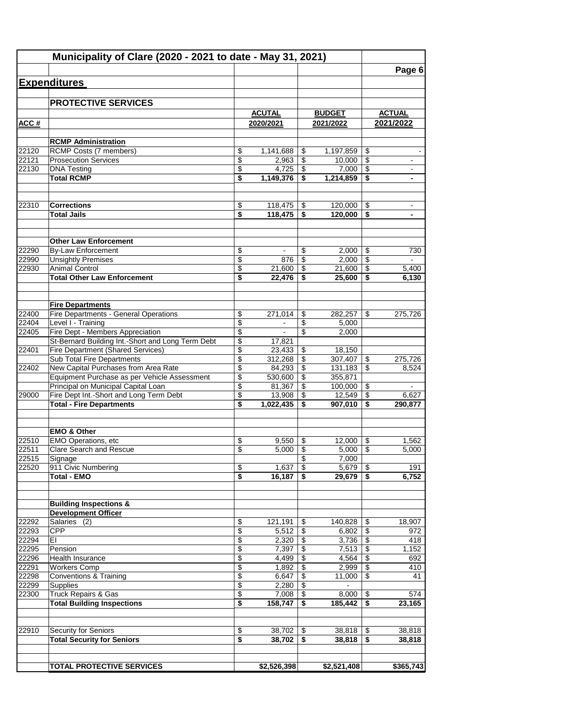|                | Municipality of Clare (2020 - 2021 to date - May 31, 2021)                           |                          |                   |          |                    |                                  |                |
|----------------|--------------------------------------------------------------------------------------|--------------------------|-------------------|----------|--------------------|----------------------------------|----------------|
|                |                                                                                      |                          |                   |          |                    |                                  | Page 6         |
|                | <b>Expenditures</b>                                                                  |                          |                   |          |                    |                                  |                |
|                | <b>PROTECTIVE SERVICES</b>                                                           |                          |                   |          |                    |                                  |                |
|                |                                                                                      |                          | <b>ACUTAL</b>     |          | <b>BUDGET</b>      |                                  | <b>ACTUAL</b>  |
| ACC#           |                                                                                      |                          | 2020/2021         |          | 2021/2022          |                                  | 2021/2022      |
|                |                                                                                      |                          |                   |          |                    |                                  |                |
| 22120          | <b>RCMP Administration</b><br>RCMP Costs (7 members)                                 | \$                       | 1,141,688         | \$       | 1,197,859          | \$                               |                |
| 22121          | <b>Prosecution Services</b>                                                          | $\overline{\mathcal{L}}$ | 2,963             | \$       | 10.000             | $\overline{\mathcal{L}}$         | $\blacksquare$ |
| 22130          | <b>DNA Testing</b>                                                                   | \$                       | 4,725             | \$       | 7,000              | \$                               | $\blacksquare$ |
|                | <b>Total RCMP</b>                                                                    | \$                       | 1,149,376         | \$       | 1,214,859          | \$                               | $\blacksquare$ |
| 22310          | <b>Corrections</b>                                                                   | \$                       | 118,475           | \$       | 120,000            |                                  |                |
|                | <b>Total Jails</b>                                                                   | \$                       | 118,475           | \$       | 120,000            | \$<br>\$                         |                |
|                |                                                                                      |                          |                   |          |                    |                                  |                |
|                | <b>Other Law Enforcement</b>                                                         |                          |                   |          |                    |                                  |                |
| 22290          | By-Law Enforcement                                                                   | \$                       | $\blacksquare$    | \$       | 2,000              | \$                               | 730            |
| 22990          | <b>Unsightly Premises</b>                                                            | \$                       | 876               | \$       | 2,000              | \$                               | $\mathbf{r}$   |
| 22930          | <b>Animal Control</b>                                                                | \$                       | 21,600            | \$       | 21,600             | \$                               | 5,400          |
|                | <b>Total Other Law Enforcement</b>                                                   | \$                       | 22,476            | \$       | 25,600             | \$                               | 6,130          |
|                | <b>Fire Departments</b>                                                              |                          |                   |          |                    |                                  |                |
| 22400          | Fire Departments - General Operations                                                | \$                       | 271.014           | \$       | 282,257            | \$                               | 275,726        |
| 22404          | Level I - Training                                                                   | \$                       | $\blacksquare$    | \$       | 5,000              |                                  |                |
| 22405          | Fire Dept - Members Appreciation                                                     | \$                       | $\blacksquare$    | \$       | 2,000              |                                  |                |
|                | St-Bernard Building Int.-Short and Long Term Debt                                    | \$                       | 17,821            |          |                    |                                  |                |
| 22401          | <b>Fire Department (Shared Services)</b>                                             | \$                       | 23,433            | \$       | 18,150             |                                  |                |
|                | Sub Total Fire Departments                                                           | \$                       | 312,268           | \$       | 307,407            | \$                               | 275,726        |
| 22402          | New Capital Purchases from Area Rate<br>Equipment Purchase as per Vehicle Assessment | \$<br>\$                 | 84,293            | \$<br>\$ | 131,183            | \$                               | 8,524          |
|                | Principal on Municipal Capital Loan                                                  | \$                       | 530,600<br>81,367 | \$       | 355,871<br>100,000 | \$                               | $\blacksquare$ |
| 29000          | Fire Dept Int.-Short and Long Term Debt                                              | \$                       | 13,908            | \$       | 12,549             | $\overline{\$}$                  | 6,627          |
|                | <b>Total - Fire Departments</b>                                                      | \$                       | 1,022,435         | \$       | 907,010            | \$                               | 290,877        |
|                |                                                                                      |                          |                   |          |                    |                                  |                |
|                | <b>EMO &amp; Other</b>                                                               |                          |                   |          |                    |                                  |                |
| 22510<br>22511 | EMO Operations, etc<br><b>Clare Search and Rescue</b>                                | \$<br>\$                 | 9,550<br>5,000    | \$<br>\$ | 12,000<br>5,000    | \$<br>\$                         | 1,562<br>5,000 |
| 22515          | Signage                                                                              |                          |                   | \$       | 7,000              |                                  |                |
| 22520          | 911 Civic Numbering                                                                  | $\boldsymbol{\theta}$    | 1,637             | \$       | 5,679              | \$                               | 191            |
|                | <b>Total - EMO</b>                                                                   | \$                       | 16,187            | \$       | 29,679             | \$                               | 6,752          |
|                |                                                                                      |                          |                   |          |                    |                                  |                |
|                | <b>Building Inspections &amp;</b><br><b>Development Officer</b>                      |                          |                   |          |                    |                                  |                |
| 22292          | Salaries (2)                                                                         | \$                       | 121,191           | \$       | 140,828            | \$                               | 18,907         |
| 22293          | <b>CPP</b>                                                                           | $\overline{\mathcal{L}}$ | 5,512             | \$       | 6,802              | \$                               | 972            |
| 22294          | EI                                                                                   | \$                       | 2,320             | \$       | 3,736              | $\overline{\$}$                  | 418            |
| 22295          | Pension                                                                              | \$                       | 7,397             | \$       | 7,513              | $\overline{\boldsymbol{\theta}}$ | 1,152          |
| 22296          | Health Insurance                                                                     | \$                       | 4,499             | \$       | 4,564              | \$                               | 692            |
| 22291          | <b>Workers Comp</b>                                                                  | \$                       | 1,892             | \$       | 2,999              | \$                               | 410            |
| 22298          | <b>Conventions &amp; Training</b>                                                    | $\overline{\$}$          | 6,647             | \$       | 11,000             | \$                               | 41             |
| 22299          | <b>Supplies</b>                                                                      | \$                       | 2,280             | \$       | $\sim$             |                                  |                |
| 22300          | <b>Truck Repairs &amp; Gas</b><br><b>Total Building Inspections</b>                  | \$<br>\$                 | 7,008<br>158,747  | \$<br>\$ | 8,000<br>185,442   | \$<br>\$                         | 574<br>23,165  |
|                |                                                                                      |                          |                   |          |                    |                                  |                |
| 22910          | Security for Seniors                                                                 | \$                       | 38,702            | \$       | 38,818             | \$                               | 38,818         |
|                | <b>Total Security for Seniors</b>                                                    | \$                       | 38,702            | \$       | 38,818             | \$                               | 38,818         |
|                | <b>TOTAL PROTECTIVE SERVICES</b>                                                     |                          | \$2,526,398       |          | \$2,521,408        |                                  | \$365,743      |
|                |                                                                                      |                          |                   |          |                    |                                  |                |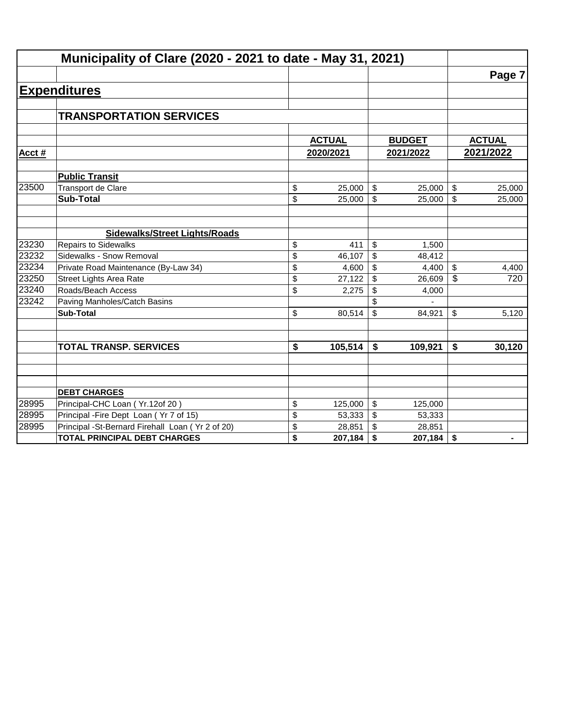|       | Municipality of Clare (2020 - 2021 to date - May 31, 2021) |                                      |               |                           |               |               |
|-------|------------------------------------------------------------|--------------------------------------|---------------|---------------------------|---------------|---------------|
|       |                                                            |                                      |               |                           |               | Page 7        |
|       | <b>Expenditures</b>                                        |                                      |               |                           |               |               |
|       |                                                            |                                      |               |                           |               |               |
|       | <b>TRANSPORTATION SERVICES</b>                             |                                      |               |                           |               |               |
|       |                                                            |                                      |               |                           |               |               |
|       |                                                            |                                      | <b>ACTUAL</b> |                           | <b>BUDGET</b> | <b>ACTUAL</b> |
| Acct# |                                                            |                                      | 2020/2021     |                           | 2021/2022     | 2021/2022     |
|       | <b>Public Transit</b>                                      |                                      |               |                           |               |               |
| 23500 | Transport de Clare                                         | \$                                   | 25,000        | \$                        | 25,000        | \$<br>25,000  |
|       | <b>Sub-Total</b>                                           | \$                                   | 25,000        | $\mathfrak{S}$            | 25,000        | \$<br>25,000  |
|       |                                                            |                                      |               |                           |               |               |
|       | <b>Sidewalks/Street Lights/Roads</b>                       |                                      |               |                           |               |               |
| 23230 | <b>Repairs to Sidewalks</b>                                | \$                                   | 411           | \$                        | 1,500         |               |
| 23232 | Sidewalks - Snow Removal                                   | \$                                   | 46,107        | \$                        | 48,412        |               |
| 23234 | Private Road Maintenance (By-Law 34)                       | \$                                   | 4,600         | \$                        | 4,400         | \$<br>4,400   |
| 23250 | <b>Street Lights Area Rate</b>                             | \$                                   | 27,122        | \$                        | 26,609        | \$<br>720     |
| 23240 | Roads/Beach Access                                         | \$                                   | 2,275         | \$                        | 4,000         |               |
| 23242 | Paving Manholes/Catch Basins                               |                                      |               | \$                        |               |               |
|       | <b>Sub-Total</b>                                           | \$                                   | 80,514        | $\boldsymbol{\mathsf{S}}$ | 84,921        | \$<br>5,120   |
|       |                                                            |                                      |               |                           |               |               |
|       | <b>TOTAL TRANSP. SERVICES</b>                              | $\overline{\boldsymbol{\mathsf{s}}}$ | 105,514       | \$                        | 109,921       | \$<br>30,120  |
|       |                                                            |                                      |               |                           |               |               |
|       |                                                            |                                      |               |                           |               |               |
|       | <b>DEBT CHARGES</b>                                        |                                      |               |                           |               |               |
| 28995 | Principal-CHC Loan (Yr.12of 20)                            | \$                                   | 125,000       | \$                        | 125,000       |               |
| 28995 | Principal - Fire Dept Loan (Yr 7 of 15)                    | \$                                   | 53,333        | \$                        | 53,333        |               |
| 28995 | Principal -St-Bernard Firehall Loan (Yr 2 of 20)           | \$                                   | 28,851        | \$                        | 28,851        |               |
|       | <b>TOTAL PRINCIPAL DEBT CHARGES</b>                        | \$                                   | 207,184       | \$                        | 207,184       | \$            |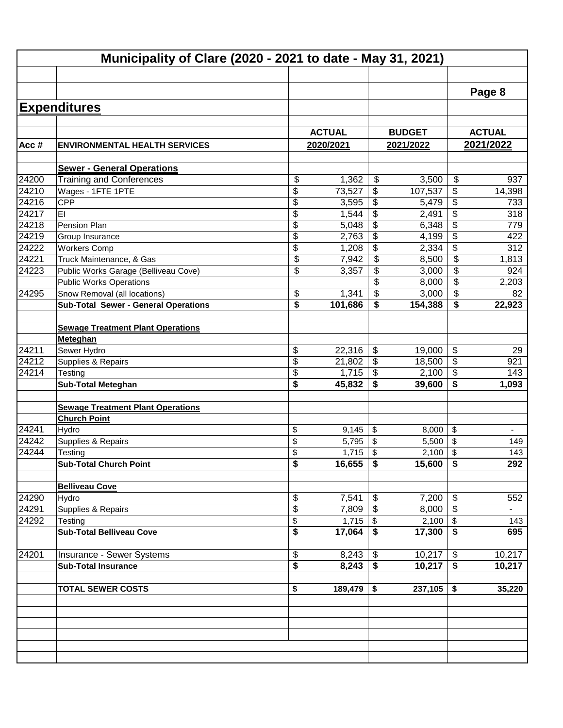|       | Municipality of Clare (2020 - 2021 to date - May 31, 2021) |               |                          |               |                                      |                          |
|-------|------------------------------------------------------------|---------------|--------------------------|---------------|--------------------------------------|--------------------------|
|       |                                                            |               |                          |               |                                      |                          |
|       |                                                            |               |                          |               |                                      | Page 8                   |
|       |                                                            |               |                          |               |                                      |                          |
|       | <b>Expenditures</b>                                        |               |                          |               |                                      |                          |
|       |                                                            | <b>ACTUAL</b> |                          | <b>BUDGET</b> |                                      | <b>ACTUAL</b>            |
| Acc#  | <b>ENVIRONMENTAL HEALTH SERVICES</b>                       | 2020/2021     |                          | 2021/2022     |                                      | 2021/2022                |
|       |                                                            |               |                          |               |                                      |                          |
|       | <b>Sewer - General Operations</b>                          |               |                          |               |                                      |                          |
| 24200 | <b>Training and Conferences</b>                            | \$<br>1,362   | $\frac{1}{2}$            | 3,500         | \$                                   | 937                      |
| 24210 | Wages - 1FTE 1PTE                                          | \$<br>73,527  | \$                       | 107,537       | \$                                   | 14,398                   |
| 24216 | CPP                                                        | \$<br>3,595   | \$                       | 5,479         | \$                                   | 733                      |
| 24217 | EI                                                         | \$<br>1,544   | \$                       | 2,491         | \$                                   | 318                      |
| 24218 | Pension Plan                                               | \$<br>5,048   | \$                       | 6,348         | $\overline{\mathcal{G}}$             | 779                      |
| 24219 | Group Insurance                                            | \$<br>2,763   | \$                       | 4,199         | $\overline{\mathcal{G}}$             | 422                      |
| 24222 | <b>Workers Comp</b>                                        | \$<br>1,208   | \$                       | 2,334         | $\overline{\mathbf{e}}$              | 312                      |
| 24221 | Truck Maintenance, & Gas                                   | \$<br>7,942   | $\overline{\mathcal{S}}$ | 8,500         | \$                                   | 1,813                    |
| 24223 | Public Works Garage (Belliveau Cove)                       | \$<br>3,357   | $\overline{\mathcal{S}}$ | 3,000         | \$                                   | 924                      |
|       | <b>Public Works Operations</b>                             |               | \$                       | 8,000         | \$                                   | 2,203                    |
| 24295 | Snow Removal (all locations)                               | \$<br>1,341   | \$                       | 3,000         | \$                                   | 82                       |
|       | <b>Sub-Total Sewer - General Operations</b>                | \$<br>101,686 | \$                       | 154,388       | \$                                   | 22,923                   |
|       |                                                            |               |                          |               |                                      |                          |
|       | <b>Sewage Treatment Plant Operations</b>                   |               |                          |               |                                      |                          |
| 24211 | Meteghan<br>Sewer Hydro                                    | \$<br>22,316  | \$                       | 19,000        | \$                                   | 29                       |
| 24212 | Supplies & Repairs                                         | \$<br>21,802  | \$                       | 18,500        | $\overline{\$}$                      | 921                      |
| 24214 | Testing                                                    | \$<br>1,715   | $\frac{1}{2}$            | 2,100         | $\overline{\$}$                      | 143                      |
|       | <b>Sub-Total Meteghan</b>                                  | \$<br>45,832  | \$                       | 39,600        | \$                                   | 1,093                    |
|       |                                                            |               |                          |               |                                      |                          |
|       | <b>Sewage Treatment Plant Operations</b>                   |               |                          |               |                                      |                          |
|       | <b>Church Point</b>                                        |               |                          |               |                                      |                          |
| 24241 | Hydro                                                      | \$<br>9,145   | \$                       | 8,000         | \$                                   | ÷,                       |
| 24242 | Supplies & Repairs                                         | \$<br>5,795   | \$                       | 5,500         | \$                                   | 149                      |
| 24244 | Testing                                                    | \$<br>1,715   | \$                       | 2,100         | \$                                   | 143                      |
|       | <b>Sub-Total Church Point</b>                              | \$<br>16,655  | \$                       | 15,600        | \$                                   | 292                      |
|       |                                                            |               |                          |               |                                      |                          |
|       | <b>Belliveau Cove</b>                                      |               |                          |               |                                      |                          |
| 24290 | Hydro                                                      | \$<br>7,541   | \$                       | 7,200         | \$                                   | 552                      |
| 24291 | Supplies & Repairs                                         | \$<br>7,809   | \$                       | 8,000         | \$                                   | $\overline{\phantom{0}}$ |
| 24292 | Testing                                                    | \$<br>1,715   | \$                       | 2,100         | \$                                   | 143                      |
|       | <b>Sub-Total Belliveau Cove</b>                            | \$<br>17,064  | \$                       | 17,300        | \$                                   | 695                      |
|       |                                                            |               |                          |               |                                      |                          |
| 24201 | Insurance - Sewer Systems                                  | \$<br>8,243   | \$                       | 10,217        | \$                                   | 10,217                   |
|       | <b>Sub-Total Insurance</b>                                 | \$<br>8,243   | \$                       | 10,217        | $\overline{\boldsymbol{\mathsf{s}}}$ | 10,217                   |
|       | <b>TOTAL SEWER COSTS</b>                                   | \$<br>189,479 | \$                       | 237,105       | \$                                   | 35,220                   |
|       |                                                            |               |                          |               |                                      |                          |
|       |                                                            |               |                          |               |                                      |                          |
|       |                                                            |               |                          |               |                                      |                          |
|       |                                                            |               |                          |               |                                      |                          |
|       |                                                            |               |                          |               |                                      |                          |
|       |                                                            |               |                          |               |                                      |                          |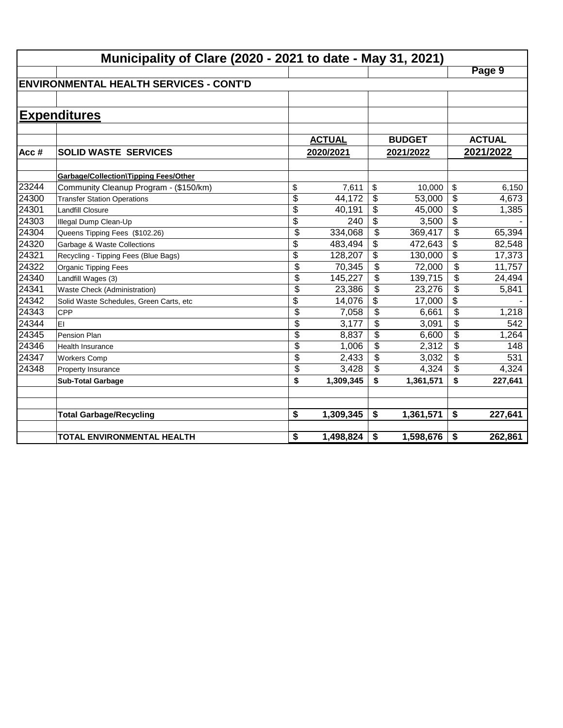|       | Municipality of Clare (2020 - 2021 to date - May 31, 2021) |                 |               |                           |               |                          |               |
|-------|------------------------------------------------------------|-----------------|---------------|---------------------------|---------------|--------------------------|---------------|
|       |                                                            |                 |               |                           |               |                          | Page 9        |
|       | <b>ENVIRONMENTAL HEALTH SERVICES - CONT'D</b>              |                 |               |                           |               |                          |               |
|       |                                                            |                 |               |                           |               |                          |               |
|       | <b>Expenditures</b>                                        |                 |               |                           |               |                          |               |
|       |                                                            |                 |               |                           |               |                          |               |
|       |                                                            |                 | <b>ACTUAL</b> |                           | <b>BUDGET</b> |                          | <b>ACTUAL</b> |
| Acc#  | <b>SOLID WASTE SERVICES</b>                                |                 | 2020/2021     |                           | 2021/2022     |                          | 2021/2022     |
|       |                                                            |                 |               |                           |               |                          |               |
|       | Garbage/Collection\Tipping Fees/Other                      |                 |               |                           |               |                          |               |
| 23244 | Community Cleanup Program - (\$150/km)                     | \$              | 7,611         | \$                        | 10,000        | \$                       | 6,150         |
| 24300 | <b>Transfer Station Operations</b>                         | \$              | 44,172        | \$                        | 53,000        | \$                       | 4,673         |
| 24301 | Landfill Closure                                           | $\overline{\$}$ | 40,191        | \$                        | 45,000        | $\overline{\$}$          | 1,385         |
| 24303 | Illegal Dump Clean-Up                                      | $\overline{\$}$ | 240           | \$                        | 3,500         | $\overline{\$}$          |               |
| 24304 | Queens Tipping Fees (\$102.26)                             | $\overline{\$}$ | 334,068       | $\overline{\mathcal{S}}$  | 369,417       | $\overline{\mathcal{L}}$ | 65,394        |
| 24320 | Garbage & Waste Collections                                | \$              | 483,494       | \$                        | 472,643       | \$                       | 82,548        |
| 24321 | Recycling - Tipping Fees (Blue Bags)                       | \$              | 128,207       | \$                        | 130,000       | $\overline{\mathcal{L}}$ | 17,373        |
| 24322 | Organic Tipping Fees                                       | \$              | 70,345        | \$                        | 72,000        | $\overline{\mathcal{L}}$ | 11,757        |
| 24340 | Landfill Wages (3)                                         | \$              | 145,227       | \$                        | 139,715       | \$                       | 24,494        |
| 24341 | Waste Check (Administration)                               | \$              | 23,386        | \$                        | 23,276        | \$                       | 5,841         |
| 24342 | Solid Waste Schedules, Green Carts, etc                    | \$              | 14,076        | \$                        | 17,000        | \$                       |               |
| 24343 | <b>CPP</b>                                                 | \$              | 7,058         | $\boldsymbol{\mathsf{S}}$ | 6,661         | \$                       | 1,218         |
| 24344 | lEI                                                        | \$              | 3,177         | \$                        | 3,091         | \$                       | 542           |
| 24345 | Pension Plan                                               | \$              | 8,837         | \$                        | 6,600         | \$                       | 1,264         |
| 24346 | Health Insurance                                           | \$              | 1,006         | \$                        | 2,312         | \$                       | 148           |
| 24347 | <b>Workers Comp</b>                                        | \$              | 2,433         | \$                        | 3,032         | \$                       | 531           |
| 24348 | Property Insurance                                         | \$              | 3,428         | \$                        | 4,324         | \$                       | 4,324         |
|       | <b>Sub-Total Garbage</b>                                   | \$              | 1,309,345     | \$                        | 1,361,571     | \$                       | 227,641       |
|       |                                                            |                 |               |                           |               |                          |               |
|       | <b>Total Garbage/Recycling</b>                             | \$              | 1,309,345     | \$                        | 1,361,571     | \$                       | 227,641       |
|       |                                                            |                 |               |                           |               |                          |               |
|       | <b>TOTAL ENVIRONMENTAL HEALTH</b>                          | \$              | 1,498,824     | \$                        | 1,598,676     | \$                       | 262,861       |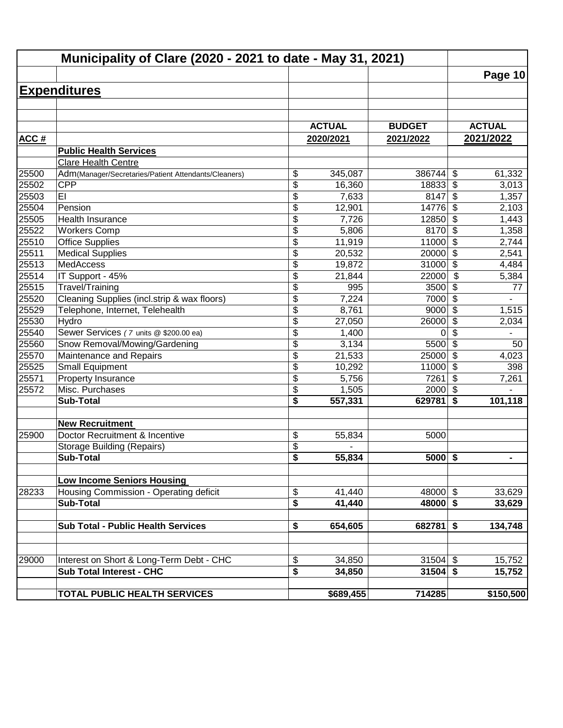|       | Municipality of Clare (2020 - 2021 to date - May 31, 2021) |                                      |               |               |                                  |                |
|-------|------------------------------------------------------------|--------------------------------------|---------------|---------------|----------------------------------|----------------|
|       |                                                            |                                      |               |               |                                  | Page 10        |
|       | <b>Expenditures</b>                                        |                                      |               |               |                                  |                |
|       |                                                            |                                      |               |               |                                  |                |
|       |                                                            |                                      |               |               |                                  |                |
|       |                                                            |                                      | <b>ACTUAL</b> | <b>BUDGET</b> | <b>ACTUAL</b>                    |                |
| ACC#  |                                                            |                                      | 2020/2021     | 2021/2022     | 2021/2022                        |                |
|       | <b>Public Health Services</b>                              |                                      |               |               |                                  |                |
|       | Clare Health Centre                                        |                                      |               |               |                                  |                |
| 25500 | Adm(Manager/Secretaries/Patient Attendants/Cleaners)       | \$                                   | 345,087       | 386744        | \$                               | 61,332         |
| 25502 | <b>CPP</b>                                                 | \$                                   | 16,360        | 18833         | \$                               | 3,013          |
| 25503 | EI                                                         | \$                                   | 7,633         | 8147          | \$                               | 1,357          |
| 25504 | Pension                                                    | \$                                   | 12,901        | 14776         | \$                               | 2,103          |
| 25505 | Health Insurance                                           | \$                                   | 7,726         | 12850         | $\overline{\boldsymbol{\theta}}$ | 1,443          |
| 25522 | <b>Workers Comp</b>                                        | \$                                   | 5,806         | 8170          | $\overline{\$}$                  | 1,358          |
| 25510 | <b>Office Supplies</b>                                     | $\overline{\$}$                      | 11,919        | 11000         | $\overline{\$}$                  | 2,744          |
| 25511 | <b>Medical Supplies</b>                                    | \$                                   | 20,532        | 20000         | $\overline{\$}$                  | 2,541          |
| 25513 | MedAccess                                                  | \$                                   | 19,872        | 31000         | $\overline{\$}$                  | 4,484          |
| 25514 | IT Support - 45%                                           | \$                                   | 21,844        | 22000         | $\overline{\$}$                  | 5,384          |
| 25515 | Travel/Training                                            | \$                                   | 995           | 3500          | \$                               | 77             |
| 25520 | Cleaning Supplies (incl.strip & wax floors)                | \$                                   | 7,224         | 7000          | \$                               |                |
| 25529 | Telephone, Internet, Telehealth                            | \$                                   | 8,761         | 9000          | $\boldsymbol{\mathsf{S}}$        | 1,515          |
| 25530 | Hydro                                                      | $\overline{\$}$                      | 27,050        | 26000         | $\boldsymbol{\mathsf{S}}$        | 2,034          |
| 25540 | Sewer Services (7 units @ \$200.00 ea)                     | \$                                   | 1,400         | 0             | \$                               |                |
| 25560 | Snow Removal/Mowing/Gardening                              | \$                                   | 3,134         | 5500          | $\overline{\mathcal{S}}$         | 50             |
| 25570 | Maintenance and Repairs                                    | \$                                   | 21,533        | 25000         | $\sqrt{3}$                       | 4,023          |
| 25525 | <b>Small Equipment</b>                                     | \$                                   | 10,292        | 11000         | \$                               | 398            |
| 25571 | Property Insurance                                         | \$                                   | 5,756         | 7261          | \$                               | 7,261          |
| 25572 | Misc. Purchases                                            | \$                                   | 1,505         | 2000          | \$                               |                |
|       | <b>Sub-Total</b>                                           | \$                                   | 557,331       | 629781        | \$                               | 101,118        |
|       | <b>New Recruitment</b>                                     |                                      |               |               |                                  |                |
| 25900 | Doctor Recruitment & Incentive                             | \$                                   | 55,834        | 5000          |                                  |                |
|       | <b>Storage Building (Repairs)</b>                          | \$                                   |               |               |                                  |                |
|       | Sub-Total                                                  | $\overline{\boldsymbol{s}}$          | 55,834        | $5000$ \$     |                                  | $\blacksquare$ |
|       |                                                            |                                      |               |               |                                  |                |
|       | <b>Low Income Seniors Housing</b>                          |                                      |               |               |                                  |                |
| 28233 | Housing Commission - Operating deficit                     | \$                                   | 41,440        | 48000 \$      |                                  | 33,629         |
|       | Sub-Total                                                  | \$                                   | 41,440        | $48000$ \$    |                                  | 33,629         |
|       |                                                            |                                      |               |               |                                  |                |
|       | <b>Sub Total - Public Health Services</b>                  | \$                                   | 654,605       | $682781$ \$   |                                  | 134,748        |
|       |                                                            |                                      |               |               |                                  |                |
| 29000 | Interest on Short & Long-Term Debt - CHC                   | \$                                   | 34,850        | $31504$ \$    |                                  | 15,752         |
|       | <b>Sub Total Interest - CHC</b>                            | $\overline{\boldsymbol{\mathsf{s}}}$ | 34,850        | $31504$ \$    |                                  | 15,752         |
|       | <b>TOTAL PUBLIC HEALTH SERVICES</b>                        |                                      | \$689,455     | 714285        |                                  | \$150,500      |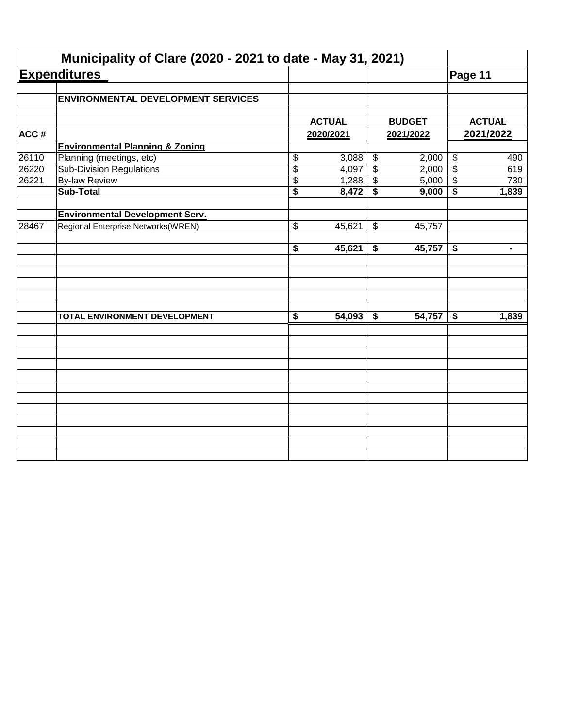|       | Municipality of Clare (2020 - 2021 to date - May 31, 2021) |                      |                     |                           |               |                           |                |
|-------|------------------------------------------------------------|----------------------|---------------------|---------------------------|---------------|---------------------------|----------------|
|       | <b>Expenditures</b>                                        |                      |                     |                           |               | Page 11                   |                |
|       | <b>ENVIRONMENTAL DEVELOPMENT SERVICES</b>                  |                      |                     |                           |               |                           |                |
|       |                                                            |                      |                     |                           |               |                           |                |
|       |                                                            |                      | <b>ACTUAL</b>       |                           | <b>BUDGET</b> |                           | <b>ACTUAL</b>  |
| ACC#  |                                                            |                      | 2020/2021           |                           | 2021/2022     |                           | 2021/2022      |
|       | <b>Environmental Planning &amp; Zoning</b>                 |                      |                     |                           |               |                           |                |
| 26110 | Planning (meetings, etc)                                   | \$                   | 3,088               | $\boldsymbol{\theta}$     | 2,000         | $\boldsymbol{\theta}$     | 490            |
| 26220 | <b>Sub-Division Regulations</b>                            | \$                   | 4,097               | $\overline{\$}$           | 2,000         | $\overline{\$}$           | 619            |
| 26221 | <b>By-law Review</b>                                       | \$                   | 1,288               | $\boldsymbol{\mathsf{S}}$ | 5,000         | $\boldsymbol{\mathsf{S}}$ | 730            |
|       | <b>Sub-Total</b>                                           | \$                   | 8,472               | \$                        | 9,000         | \$                        | 1,839          |
|       | <b>Environmental Development Serv.</b>                     |                      |                     |                           |               |                           |                |
| 28467 | Regional Enterprise Networks(WREN)                         | \$                   | 45,621              | \$                        | 45,757        |                           |                |
|       |                                                            | \$                   | 45,621              | \$                        | 45,757        | \$                        | $\blacksquare$ |
|       |                                                            |                      |                     |                           |               |                           |                |
|       | TOTAL ENVIRONMENT DEVELOPMENT                              | $\overline{\bullet}$ | $\overline{54,093}$ | \$                        | 54,757        | \$                        | 1,839          |
|       |                                                            |                      |                     |                           |               |                           |                |
|       |                                                            |                      |                     |                           |               |                           |                |
|       |                                                            |                      |                     |                           |               |                           |                |
|       |                                                            |                      |                     |                           |               |                           |                |
|       |                                                            |                      |                     |                           |               |                           |                |
|       |                                                            |                      |                     |                           |               |                           |                |
|       |                                                            |                      |                     |                           |               |                           |                |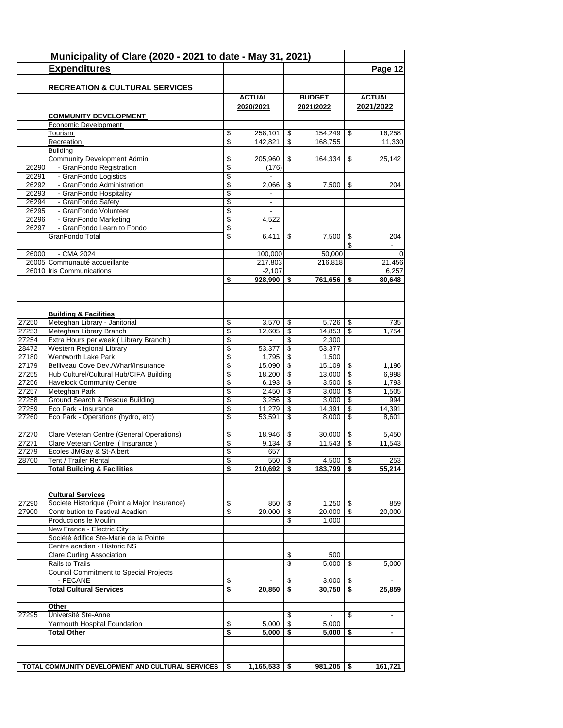|                | Municipality of Clare (2020 - 2021 to date - May 31, 2021)<br><b>Expenditures</b> |          |                                    |                  |                 |                                 | Page 12                  |
|----------------|-----------------------------------------------------------------------------------|----------|------------------------------------|------------------|-----------------|---------------------------------|--------------------------|
|                |                                                                                   |          |                                    |                  |                 |                                 |                          |
|                | <b>RECREATION &amp; CULTURAL SERVICES</b>                                         |          |                                    |                  |                 |                                 |                          |
|                |                                                                                   |          | <b>ACTUAL</b>                      |                  | <b>BUDGET</b>   |                                 | <b>ACTUAL</b>            |
|                | <b>COMMUNITY DEVELOPMENT</b>                                                      |          | 2020/2021                          |                  | 2021/2022       |                                 | 2021/2022                |
|                | Economic Development                                                              |          |                                    |                  |                 |                                 |                          |
|                | Tourism                                                                           | \$       | 258,101                            | \$               | 154,249         | \$                              | 16,258                   |
|                | Recreation                                                                        | \$       | 142,821                            | \$               | 168,755         |                                 | 11,330                   |
|                | <b>Building</b>                                                                   |          |                                    |                  |                 |                                 |                          |
| 26290          | <b>Community Development Admin</b><br>- GranFondo Registration                    | \$<br>\$ | 205,960<br>(176)                   | \$               | 164,334         | \$                              | 25,142                   |
| 26291          | - GranFondo Logistics                                                             | \$       | $\blacksquare$                     |                  |                 |                                 |                          |
| 26292          | - GranFondo Administration                                                        | \$       | 2,066                              | \$               | 7,500           | \$                              | 204                      |
| 26293          | - GranFondo Hospitality                                                           | \$       |                                    |                  |                 |                                 |                          |
| 26294          | - GranFondo Safety                                                                | \$       | $\overline{\phantom{a}}$           |                  |                 |                                 |                          |
| 26295          | - GranFondo Volunteer                                                             | \$       |                                    |                  |                 |                                 |                          |
| 26296          | - GranFondo Marketing                                                             | \$       | 4,522                              |                  |                 |                                 |                          |
| 26297          | - GranFondo Learn to Fondo<br>GranFondo Total                                     | \$<br>\$ | $\overline{\phantom{a}}$<br>6,411  | \$               | 7,500           | \$                              | 204                      |
|                |                                                                                   |          |                                    |                  |                 | \$                              | $\overline{\phantom{a}}$ |
| 26000          | - CMA 2024                                                                        |          | 100.000                            |                  | 50,000          |                                 | $\Omega$                 |
|                | 26005 Communauté accueillante                                                     |          | 217,803                            |                  | 216,818         |                                 | 21,456                   |
|                | 26010 Iris Communications                                                         |          | $-2,107$                           |                  |                 |                                 | 6,257                    |
|                |                                                                                   | \$       | 928,990                            | \$               | 761,656         | \$                              | 80,648                   |
|                |                                                                                   |          |                                    |                  |                 |                                 |                          |
|                | <b>Building &amp; Facilities</b>                                                  |          |                                    |                  |                 |                                 |                          |
| 27250          | Meteghan Library - Janitorial                                                     | \$       | 3,570                              | \$               | $5,726$ \$      |                                 | 735                      |
| 27253          | Meteghan Library Branch                                                           | \$       | 12,605                             | \$               | 14,853          | \$                              | 1,754                    |
| 27254<br>28472 | Extra Hours per week (Library Branch)<br>Western Regional Library                 | \$<br>\$ | $\overline{\phantom{a}}$<br>53,377 | \$<br>\$         | 2,300<br>53,377 |                                 |                          |
| 27180          | Wentworth Lake Park                                                               | \$       | 1,795                              | \$               | 1,500           |                                 |                          |
| 27179          | Belliveau Cove Dev./Wharf/Insurance                                               | \$       | 15,090                             | \$               | 15,109          | \$                              | 1,196                    |
| 27255          | Hub Culturel/Cultural Hub/CIFA Building                                           | \$       | 18,200                             | \$               | $13,000$   \$   |                                 | 6,998                    |
| 27256          | <b>Havelock Community Centre</b>                                                  | \$       | 6,193                              | \$               | $3,500$ \$      |                                 | 1,793                    |
| 27257          | Meteghan Park                                                                     | \$       | 2,450                              | \$               | 3,000           | $\mathfrak{S}$                  | 1,505                    |
| 27258          | Ground Search & Rescue Building                                                   | \$       | 3,256                              | \$               | 3,000           | \$                              | 994                      |
| 27259<br>27260 | Eco Park - Insurance<br>Eco Park - Operations (hydro, etc)                        | \$<br>\$ | 11,279<br>53,591                   | \$<br>\$         | 14,391<br>8,000 | $\mathfrak s$<br>$\mathfrak{s}$ | 14,391<br>8,601          |
|                |                                                                                   |          |                                    |                  |                 |                                 |                          |
| 27270          | Clare Veteran Centre (General Operations)                                         | \$       | 18,946                             | \$               | 30,000          | \$                              | 5,450                    |
| 27271          | Clare Veteran Centre ( Insurance )                                                | \$       | 9,134                              | \$               | 11,543          | $\boldsymbol{\mathsf{S}}$       | 11,543                   |
| 27279          | Écoles JMGay & St-Albert                                                          | \$       | 657                                |                  |                 |                                 |                          |
| 28700          | Tent / Trailer Rental                                                             | \$       | $550$ \ \$                         |                  | $4,500$ \$      |                                 | 253                      |
|                | <b>Total Building &amp; Facilities</b>                                            | \$       | $210,692$   \$                     |                  | $183,799$   \$  |                                 | 55,214                   |
|                | <b>Cultural Services</b>                                                          |          |                                    |                  |                 |                                 |                          |
| 27290          | Societe Historique (Point a Major Insurance)                                      | \$       | 850                                | \$               | $1,250$   \$    |                                 | 859                      |
| 27900          | Contribution to Festival Acadien                                                  | \$       | 20,000                             | \$               | $20,000$ \ \$   |                                 | 20,000                   |
|                | Productions le Moulin                                                             |          |                                    | \$               | 1,000           |                                 |                          |
|                | New France - Electric City                                                        |          |                                    |                  |                 |                                 |                          |
|                | Société édifice Ste-Marie de la Pointe<br>Centre acadien - Historic NS            |          |                                    |                  |                 |                                 |                          |
|                | <b>Clare Curling Association</b>                                                  |          |                                    | \$               | 500             |                                 |                          |
|                | Rails to Trails                                                                   |          |                                    | \$               | 5.000           | \$                              | 5,000                    |
|                | <b>Council Commitment to Special Projects</b>                                     |          |                                    |                  |                 |                                 |                          |
|                | - FECANE                                                                          | \$       |                                    | \$               | $3,000$   \$    |                                 |                          |
|                | <b>Total Cultural Services</b>                                                    | \$       | 20,850                             | \$               | $30,750$ \$     |                                 | 25,859                   |
|                | Other                                                                             |          |                                    |                  |                 |                                 |                          |
| 27295          | Université Ste-Anne<br>Yarmouth Hospital Foundation                               | \$       | 5,000                              | \$<br>$\sqrt{3}$ | 5,000           | \$                              |                          |
|                | <b>Total Other</b>                                                                | \$       | 5,000                              | -\$              | 5,000           | -\$                             | $\blacksquare$           |
|                |                                                                                   |          |                                    |                  |                 |                                 |                          |
|                | TOTAL COMMUNITY DEVELOPMENT AND CULTURAL SERVICES                                 | \$       | $1,165,533$   \$                   |                  | $981,205$ \$    |                                 | 161,721                  |
|                |                                                                                   |          |                                    |                  |                 |                                 |                          |